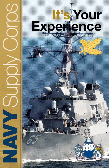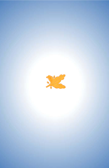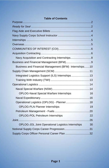### **Table of Contents**

| Business and Financial Management (BFM) Internships10    |    |
|----------------------------------------------------------|----|
|                                                          |    |
| Integrated Logistics Support (ILS) Internships13         |    |
|                                                          |    |
|                                                          |    |
|                                                          |    |
| <b>OPLOG-Naval Special Warfare Internships</b>           | 16 |
|                                                          |    |
|                                                          |    |
| <b>OPLOG-PLN Planner Internships</b>                     | 19 |
|                                                          |    |
| <b>OPLOG-POL Petroleum Internships</b>                   | 22 |
|                                                          |    |
| <b>OPLOG-JOL Joint Operational Logistics Internships</b> | 30 |
| Notional Supply Corps Career Progression31               |    |
| Supply Corps Officer Personal Career Plan 32             |    |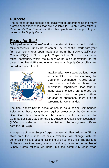## <span id="page-3-0"></span>**Purpose**

The purpose of this booklet is to assist you in understanding the many professional experiences that are available to Supply Corps officers. Refer to "It's Your Career" and the other "playbooks" to help build your career in the Supply Corps.

## <span id="page-3-1"></span>*Ready for Sea!*

Solid performance "at sea" and in operational billets is the foundation for a successful Supply Corps career. The foundation starts with your first operational tour upon graduation from the Basic Qualification Course (BQC) at Navy Supply Corps School Newport. Our junior officer community within the Supply Corps is as operational as the unrestricted line (URL) and one in three of all Supply Corps billets are considered operational.



Traditionally, two sea/operational tours are completed prior to screening for Lieutenant Commander. A solid career plan should include at least one operational Department Head tour. In many cases, officers are afforded the opportunity to complete three "at sea" or operational tours prior to screening for Commander.

The final opportunity to serve at sea is as a senior Commander. Selection to these assignments requires selection by the Commander Sea Board held annually in the summer. Officers selected for Commander Sea Duty earn the **937** Additional Qualification Designator (AQD) upon selection. Upon completion of the assignment, officers earn the **935** AQD.

A snapshot of junior Supply Corps operational billets follows in (Fig 1). Over time the number of billets available will change with the commissioning and decommissioning of ships and units. The ability to fill these operational assignments is a driving factor in the number of Supply Corps officers we bring into the community each year.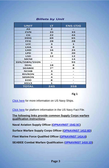| <b>UNIT</b>      | LT             | <b>ENS-LTJG</b> |
|------------------|----------------|-----------------|
| <b>AS</b>        | $\overline{2}$ |                 |
| <b>CVN</b>       | 33             | 33              |
| CG               | 22             | 44              |
| <b>DDG</b>       | 69             | 65              |
| <b>FFG</b>       | 28             | 28              |
| <b>LCC</b>       | з              | $\mathbf{1}$    |
| <b>LHA</b>       | 6              | 8               |
| <b>LHD</b>       | 16             | 24              |
| <b>LPD</b>       | 9              | 20              |
| <b>LSD</b>       | 12             | 12              |
| <b>MCM</b>       |                | 14              |
| SSN/SSBN/SSGN    | -              | 93              |
| <b>SEAL</b>      | 18             | 8               |
| <b>SEABEE</b>    | $7*$           | 8               |
| <b>NCHB</b>      | з              |                 |
| <b>RIVRON</b>    | 4              |                 |
| <b>MSRON</b>     | 4              |                 |
| EOD              | 8              | -               |
| HSV <sub>2</sub> | 1              |                 |
| <b>TOTAL</b>     | 245            | 358             |

#### **Billets by Unit**

#### **Fig 1**

[Click here](http://www.navy.mil/navydata/our_ships.asp) for more information on US Navy Ships.

[Click here](http://www.navy.mil/navydata/fact.asp) for platform information in the US Navy Fact File.

**The following links provide common Supply Corps warfare qualification instructions:**

**Naval Aviation Supply Officer [\(OPNAVINST 1542.5C\)](http://doni.daps.dla.mil/Directives/01000%20Military%20Personnel%20Support/01-500%20Military%20Training%20and%20Education%20Services/1542.5C.pdf)**

**Surface Warfare Supply Corps Officer [\(OPNAVINST 1412.6D\)](http://doni.daps.dla.mil/Directives/01000%20Military%20Personnel%20Support/01-400%20Promotion%20and%20Advancement%20Programs/1412.6D.pdf)**

**Fleet Marine Force Qualified Officer [\(OPNAVINST 1414.6\)](http://doni.daps.dla.mil/Directives/01000%20Military%20Personnel%20Support/01-400%20Promotion%20and%20Advancement%20Programs/1414.6.pdf)**

**SEABEE Combat Warfare Qualification** (**[OPNAVINST 1410.1D\)](http://www.public.navy.mil/bupers-npc/officer/communitymanagers/StaffCorps/Documents/opnav-1410-1d.pdf)**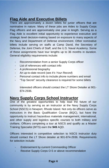## <span id="page-5-0"></span>**Flag Aide and Executive Billets**

There are approximately a dozen billets for junior officers that are nominative in nature. Many of these jobs are Aides to Supply Corps Flag officers and are approximately one year in length. Serving as a Flag Aide is excellent initial opportunity to experience executive and strategic level decision-making based on exposure to many aspects of the Navy and Department of Defense environment. Other nominative billets include serving on staffs at Camp David, the Secretary of Defense, the Joint Chiefs of Staff, and the U.S. Naval Academy. Some of these assignments have tour lengths up to 36 months in duration. General eligibility requirements include:

- Recommendation from a senior Supply Corps officer
- List of references with contact info
- A professional biography
- An up-to-date record (see *It's Your Record*)
- Personal contact info to include phone numbers and email
- "Top Secret" security clearance is required for some billets

Interested officers should contact the LT Shore Detailer at 901- 874-2936.

## <span id="page-5-1"></span>**Navy Supply Corps School Instructor**

One of the greatest opportunities to help lead the future of our community is by serving as an instructor at the Navy Supply Corps School (NSCS) in Newport, Rhode Island. Not only do officers serve as instructors in the Basic Qualification Course (BQC), but have the opportunity to instruct hazardous materials management, international, and other supply and logistics specific courses to both military and civilians. Officers completing a tour at NSCS and qualify as a Master Training Specialist (MTS) earn the **949** AQD.

Officers interested in competitive selection to NSCS instructor duty should contact the LT Shore detailer at 901-874-2936. Requirements for selection include:

- Endorsement by current Commanding Officer
- Receive Supply Corps O-5 or above recommendation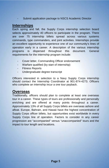Submit application package to NSCS Academic Director

## <span id="page-6-0"></span>**Internships**

Each spring and fall, the Supply Corps internship selection board selects approximately 40 officers to participate in the program. There are over 75 internship billets spread across various systems commands, type commanders, and joint activities. Internships provide an excellent opportunity to experience one of our community's lines of operation early in a career. A description of the various internship programs is dispersed throughout this document. General requirements for the internship program include:

- Cover letter, Commanding Officer endorsement
- Warfare qualified (by start of internship)
- **Fitness Reports**
- Undergraduate degree transcript

Officers interested in selection to a Navy Supply Corps internship should contact the Internship Coordinator at 901-874-4273. Officers who complete an internship incur a one tour payback.

## <span id="page-6-1"></span>**Overseas**

Traditionally, officers should plan to complete at least one overseas tour in a career. These types of tours are professionally and personally enriching and are offered at many points throughout a career. Approximately 13% of all Supply Corps billets are overseas ashore and afloat. Europe, Bahrain, and Hawaii have the highest concentration of Supply Corps officer billets, but opportunities exist worldwide in every Supply Corps line of operation. Factors to consider in any career progression are "accompanied" versus "unaccompanied" tours and the impact to tour length and locations.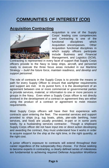# <span id="page-7-0"></span>**COMMUNITIES OF INTEREST (COI)**

## <span id="page-7-1"></span>**Acquisition Contracting**



Acquisition is one of the Supply Corps' leading core competencies and Contracting is one of the functional disciplines which Acquisition encompasses. Other Acquisition functional disciplines in which supply officers participate<br>include Business and Financial include Business and Management, and Logistics (SCM).

Contracting is represented in every facet of support that Supply Corps officers provide to the Navy to keep ships, aircraft, and personnel ready to execute the three focus areas included in our Maritime Strategy *-- build the future force, maintain readiness, and develop and support personnel.*

The role of contracts in the Supply Corps is to provide the means or path for every Supply Officer to ensure that warfighter requirements and support are met. In its purest form, it is the development of an agreement between one or more commercial or governmental parties to provide services, material, or information to one or more persons or groups in the Navy. Even when a Supply Corps officer is not directly involved in the development of a contract or agreement they are either using the product of a contract or agreement to meet mission requirements.

Most Supply Corps officers will have their first experience with contracts upon entering the fleet. The essential services and support provided to ships (e.g. tug boats, pilots, pier-side berthing, hotel services, and food) are usually provided, in-part or in some ports totally, by a husbanding services contractor. Though a shipboard Supply Corps officer did not have input into or direct action developing and awarding the contract, they must understand how it works in order to acquire support for the ship at the right time, in the right quantity, at the right cost.

A junior officer's exposure to contracts will extend throughout their career regardless of the subspecialty they choose. For those seeking to become experts in contracting, a clearly defined series of milestones are fundamental to achieving required Defense Acquisition Workforce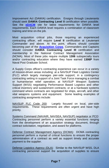Improvement Act (DAWIA) certification. Ensigns through Lieutenants should seek **DAWIA Contracting Level II** certification when possible. See the **[eDACM](https://www.atrrs.army.mil/channels/registernowmaint/registernowredirect.asp)** site for latest requirements for DAWIA level requirements. Each DAWIA level requires a combination of classroom training and time on-the job.

Most acquisition critical jobs, those requiring an experienced contracting officer, will require **Level II** certification at Lieutenant Commander and above. At this point, officers should consider becoming part of the **[Acquisition Corps](http://www.public.navy.mil/bupers-npc/officer/Detailing/acquisition/Pages/default2.aspx)**. Commanders and Captains should consider **DAWIA Contracting Level III** certification and membership in the National Contract Management Association (NCMA). Most of these jobs require multiple **1306** subspecialty tours and/or contracting education where they have earned **1306P** from Naval Post Graduate School.

A Supply Corps officer's contracting experience can occur in a variety of mission-driven areas including: at a NAVSUP Fleet Logistics Center (FLC) which largely manages pier-side support; in a contingency contracting setting in support of a Joint Task Force managing a combat or humanitarian relief operation; at NAVSUP Weapon Systems Support (WSS) negotiating Performance Based Logistics and other critical inventory and sustainment contracts; or at a hardware systems command where contracts are negotiated for ships, aircraft, and other vital weapons systems and equipment. Some leading examples of contracting assigments include:

NAVSUP FLC Code 200: Largely focused on local, pier-side requirements. These requirements are often urgent and have high priority.

Systems Command (NAVAIR, NAVSEA, NAVSUP) negotiator or PCO: Contracting personnel perform a variety essential functions ranging from the development of an acquisition strategy document, through contract solicitation, negotiation, and award for platforms.

Defense Contract Management Agency (DCMA): DCMA contracting personnel perform a myriad of critical functions to ensure the proper administration of a contract as well as support timely and accurate payment to the supplier.

Defense Logistics Agency (DLA): Similar to the NAVSUP WSS, DLA contracting personnel support the acquisition of supplies to ensure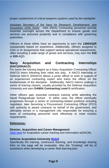proper sustainment of critical weapons systems used by the warfighter.

Assistant Secretary of the Navy for Research, Development, and Acquisition (ASN RDA): ASN (RDA) Contracting personnel provide essential oversight across the Department to ensure goods and services are procured prudently and in compliance with governing authorities.

Officers in these billets have an opportunity to earn the **1306S/Q/R** subspecialty based on experience. Additionally, officers assigned to GSA or IA assignments that support tactical operational requirements, often including a wide range of goods and services, may earn the **918** or **919** AQD.

#### <span id="page-9-0"></span>**Navy Acquisition and Contracting Internships (NACO/DNACO)**

For some the training begins as a Navy Acquisition Contracting Officer (NACO) intern following their initial sea duty. A NACO internship or Defense NACO (DNACO) allows a junior officer to work in support of an experienced contracting expert who trains the officer on the fundamentals of the discipline. Additionally, NACO interns undergo a series of training classes, usually provided by the Defense Acquisition University and earn **DAWIA Contracting Level II** certification.

Other officers gain essential contracts training while attending the Naval Postgraduate School. In either case, the officer eventually progresses through a series of contracting-related positions including negotiator, later becoming a Procurement Contracting Officer (PCO) with authority to award contracts on behalf of the government, and ultimately serves in a management role responsible for ensuring a team of contracting personnel work effectively to meet mission requirements.

#### **References:**

#### **Director, Acquisition and Career Management**

[Click here](https://www.atrrs.army.mil/channels/navyedacm/Login/Login.aspx) for Acquisition career tracking and information (eDACM).

#### **Defense Acquisition University [\(DAU\)](http://www.dau.mil/default.aspx)**

Specifically the training, continuous learning, and knowledge sharing links on this page will be invaluable. Also the "iCatalog" will be of assistance when developing a career field learning plan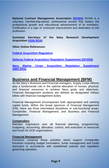**National Contract Management Association [\(NCMA\)](http://www.ncmahq.org/)** NCMA is a voluntary membership-based, professional society that fosters the professional growth and educational advancement of its members. Certification is a sign of continued improvement and dedication to the profession.

**Assistant Secretary of the Navy Research Development Acquisition [\(ASN RDA\)](https://acquisition.navy.mil/rda/home/meet_asn_rda)** 

**Other Online References:** 

**[Federal Acquisition Regulation](https://www.acquisition.gov/far/)**

**[Defense Federal Acquisition Regulation Supplement \(DFARS\)](http://www.acq.osd.mil/dpap/dars/dfarspgi/current/index.html)**

**[Navy Marine Corps Acquisition Regulation Supplement](https://acquisition.navy.mil/rda/home/policy_and_guidance/nmcars) [\(NMCARS\)](https://acquisition.navy.mil/rda/home/policy_and_guidance/nmcars)**

## <span id="page-10-0"></span>**Business and Financial Management (BFM)**

As the Navy's Business and Financial managers, Supply Corps officers play a fundamental role in the optimal allocation of human, physical, and financial resources to achieve Navy goals and objectives. Financial Management positions are defined as designated military billets with financial management duties.

Financial Management encompasses both appropriated and working capital funds. Within the broad spectrum of Financial Management (FM), there are three interrelated disciplines or sub-functional areas: Comptroller, Financial Management, and Business and Financial Management.

#### **Comptrollers**

Maintain cognizance over all financial planning, programming, budgeting, accounting, allocation, control, and execution of resources and funds for DOD organizations.

#### **Financial Management**

Functions comprise those activities which support Comptroller functions including budget formulation, funds management and funds execution in accordance with established policies and regulation governing operation.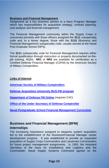#### **Business and Financial Management**

Assignment as a key business advisor to a Navy Program Manager which has responsibilities for acquisition strategy, contract planning, cost analysis and financial management.

The Financial Management community within the Supply Corps is concerned primarily with those officers assigned the **3111** subspecialty code and, to a lesser degree, those with the **3110** (Business and Financial Management) subspecialty code, usually earned at the Naval Post Graduate School (NPS).

The **3111** subspecialty code for Financial Management requires either formal qualification through instruction or properly documented on-thejob training. AQDs **NR1** or **NR2** are available for certification as a Certified Defense Financial Manager (CDFM) by the American Society of Military Comptrollers.

#### **Links of Interest:**

**[American Society of Military Comptrollers](http://www.asmconline.org/)**

**[Defense Acquisition University BUS-FM program](http://icatalog.dau.mil/onlinecatalog/CareerLvl.aspx)**

**[Department of Defense FM Online](https://fmonline.ousdc.osd.mil/)** (requires CAC)

**[Office of the Under Secretary of Defense Comptroller](http://comptroller.defense.gov/)**

**[Naval Postgraduate School Financial Management Curriculum](http://www.nps.edu/Academics/Schools/GSBPP/Academics/MBA/FM837/index.html)**

## <span id="page-11-0"></span>**Business and Financial Management (BFM) Internships**

The increasing importance assigned to weapons system acquisition led to the establishment of the Business/Financial Manager career development program. It was established to provide an expanded population of Supply Corps Commanders and Lieutenant Commanders for future project management assignments. In 1983, the Assistant Secretary of the Navy for Installations and Logistics and the Commander, Naval Supply Systems Command agreed on the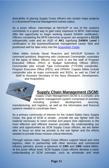desirability of placing Supply Corps officers into certain major projects in a Business/Financial Management trainee status.

As a junior officer, internships at NAVSUP or one of the systems commands is a good way to gain early exposure to BFM. Internships offer the opportunity to begin working toward DAWIA certification. Officers completing the BFM internship program are assigned a **3111S**  subspecialty code and an AQD of **AK1** signifying **DAWIA Level I** certification in the business/financial management career field and positioned well for later entry into the [Acquisition Corps.](http://www.public.navy.mil/bupers-npc/officer/Detailing/acquisition/Pages/default2.aspx)

Other billets include Naval Reactors and NAVSUP Echelon III command positions. Beginning with Lieutenant Commander, examples of the types of billets officers may work in are the staff of Program Executive Offices (PEO) or Budget Submitting Offices (BSO). Commander jobs include Type Commander (TYCOM) comptroller, Program Executive Office (PEO), and OPNAV. Captain billets include comptroller jobs at major commands and BSOs, as well as Chief of Staff to Assistant Secretary of the Navy (Research, Development,

and Acquisition).

## <span id="page-12-0"></span>**Supply Chain Management (SCM)**

Supply Chain Management (SCM) is a complex and dynamic management system comprised of activities<br>including product development, sourcing, development, sourcing,

manufacturing, and logistics, as well as the information and financial systems needed to coordinate them.

As a primary community of interest for the United States Navy Supply Corps, the goal of SCM is simple: *provide the war fighter with the material necessary to meet combat and peace time objectives in the most effective and efficient manner possible.* By understanding our roles and opportunities as SCM Supply Corps officers, we are better able to focus on what we provide to the war fighter and the efforts needed to provide those mission critical elements.

Through various roles, Supply Corps officers support Naval and Joint logistics, often in partnership with other services and commercial industry partners, across a spectrum of **1301** and **1302** coded billets. At the junior officer level, SCM Supply Corps officers develop a basic understanding of SCM concepts, such as wholesale and retail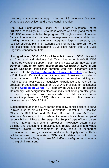inventory management through roles as ILS Inventory Manager, Warehouse Ops Officer, and Cargo Handling Officer.

The Naval Postgraduate School (NPS) offers a Master's Degree (**1302P** subspecialty) in SCM to those officers who apply and meet the 345 APC requirements for the program. Through a series of courses focused in economics, operations management, modeling and decision making, inventory management, integrated logistics support, and logistics strategic planning, students are prepared to take on more of the challenging and demanding SCM billets within the Life Cycle Logistics Management field.

Upon graduation, SCM LCDRs will be able to serve in SCM roles such as DLA Land and Maritime Cell Team Leader or NAVSUP WSS Integrated Weapons Support Team (IWST) head where they can earn **Defense Acquisition Work Improvement Act (DAWIA) Level II Life Cycle Logistics** certification through web and classroom based courses with the **[Defense Acquisition University \(DAU\)](http://www.dau.mil/default.aspx)**. Combining a DAU Level II Certification, a minimum level of business education in undergraduate or NPS Master's degree and acquisition training, and having at least four years of acquisition experience (one year can be credited for education), makes an SCM Officer eligible for acceptance into the **[Acquisition Corps](http://www.public.navy.mil/bupers-npc/officer/Detailing/acquisition/Pages/default2.aspx)** (AC), formally the Acquisition Professional Community. AC designation places an individual among an elite group of expert acquisition professionals who can fill specific critical acquisition professional (CAP) billets at the senior officer level and have earned an AQD of **APM**.

Subsequent tours in the SCM career path allow senior officers to serve in roles such as NAVSUP WSS Operations Director, FLC Executive Officer, or DLA Land and Maritime, Director of Joint Aerospace Weapons Systems, which provide an increase in breadth and scope of responsibilities. Billets at this stage of a Supply Corps officer's career involve material requirements projection, allowance determination building and sustainment, redistribution, repair, disposal and whole systems inventory management as they relate to supporting operational and strategic missions. Additionally, Supply Corps officers will be required to understand SCM as it relates not only to the Department of the Navy, but how SCM affects warfighter requirements in the global joint arena.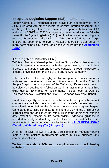### <span id="page-14-0"></span>**Integrated Logistics Support (ILS) Internships**

Supply Corps ILS Internship billets provide an opportunity to learn SCM integrated with other aspects of logistics through classroom and on the job training. Internships provide the opportunity to learn SCM and earn a **1302S** or **3121S** subspecialty code, in addition to **DAWIA Level II Life Cycle Logistics (LCL)** certification, while performing in a vital job. Promotion to the rank of LCDR affords SCM Supply Corps officers the opportunity to earn a Master's degree in SCM, serve in more demanding SCM billets, and achieve entry into the **[Acquisition](http://www.public.navy.mil/bupers-npc/officer/Detailing/acquisition/Pages/default2.aspx)  [Corps](http://www.public.navy.mil/bupers-npc/officer/Detailing/acquisition/Pages/default2.aspx)**.

### <span id="page-14-1"></span>**Training With Industry (TWI)**

TWI is a 12-month fellowship that provides Supply Corps lieutenants or junior lieutenant commanders with the opportunity to expand their professional supply chain and logistics education through exposure to executive level decision-making at a "Fortune 500" company.

Officers selected for this highly visible assignment provide monthly updates and receive an observed fitness report from the Chief of Supply Corps. Upon completion of the TWI tour, officers can expect to be selectively detailed to a follow-on tour in an assignment that utilizes skills gained. Examples of assignments include jobs at Defense Logistics Agency – Aviation and NAVSUP Weapon Systems Support.

Candidate eligibility requirements for lieutenants and junior lieutenant commanders include the completion of a master's degree and two operational tours before the June of the year the program begins. Candidates must also complete a minimum of 12 months at his or her current command and must be within 18 months of planned rotation date (exception: officers on 12 month orders). Additional guidance is provided annually and a Flag level selection board will select TWI participants. More information can be found in **[NAVSUPINST 1520.7](https://nll.ahf.nmci.navy.mil/nll/filedetail.cfm?id=10365&randomkey=yBeGtCFPeN8lLIrhRmyz)  [\(Training With Industry \(TWI\) Program\)](https://nll.ahf.nmci.navy.mil/nll/filedetail.cfm?id=10365&randomkey=yBeGtCFPeN8lLIrhRmyz)**.

A career in SCM allows a Supply Corps officer to manage varying material and logistics requirements across multiple business and combat disciplines.

#### **To learn more about SCM and its application visit the following websites:**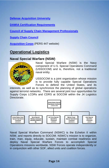**[Defense Acquisition University](http://www.dau.mil/default.aspx)**

**[DAWIA Certification Requirements](http://icatalog.dau.mil/onlinecatalog/CareerLvl.aspx)**

**Council of Supply [Chain Management Professionals](http://cscmp.org/Default.asp)**

**[Supply Chain Council](http://supply-chain.org/)**

<span id="page-15-0"></span>**[Acquisition Corps](http://www.public.navy.mil/BUPERS-NPC/OFFICER/DETAILING/ACQUISITION/Pages/default2.aspx)** (PERS 447 website)

## **Operational Logistics**

### <span id="page-15-1"></span>**Naval Special Warfare (NSW)**



Naval Special Warfare (NSW) is the Navy component of U.S. Special Operations Command (USSOCOM) and is, therefore, not a traditional naval entity.

USSOCOM is a joint organization whose mission is to provide fully capable Special Operations Forces to defend the United States, and its

interests, as well as to synchronize the planning of global operations against terrorist networks. There are several joint tour opportunities for Supply Corps LCDRs and CDRS at SOCOM within the J4 Logistics **Directorate** 



Naval Special Warfare Command (NSWC) is the Echelon II within NSW, and reports directly to SOCOM. NSWC's mission is to organize, train, man, equip, educate, sustain, maintain combat readiness and deploy Naval Special Warfare Forces to accomplish Special Operations missions worldwide. NSW Forces operate independently or in conjunction with other SOF, allied units and coalition forces.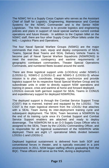The NSWC N4 is a Supply Corps Captain who serves as the Assistant Chief of Staff for Logistics, Engineering, Maintenance and Combat Systems for the NSWC Commander and is the Senior NSW Logistician. The N4s mission is to provide logistics and engineering policies and plans in support of naval special warfare current combat operations and future threats. In addition to the Captain billet on the NSWC staff, there are four other Supply Corps Officer billets under the N41 – Logistics Plans and Operations.

The four Naval Special Warfare Groups (NSWG) are the major commands that man, train, equip and deploy components of SEAL Teams, Special Boat Teams and SEAL Delivery Vehicle Teams to become part of Naval Special Warfare Squadrons (NSWRONS) to meet the exercise, contingency and wartime requirements of geographic combatant commanders, Theater Special Operations Commands, and numbered fleets located around the world.

There are three logistical support units (LOGSUs) under NSWG-1 (LOGSU-1), NSWG-2 (LOGSU-2) and NSWG-3 (LOGSU-3) whose mission is to plan, coordinate, integrate, synchronize and provide logistics support for its respective Naval Special Warfare Group and its subordinate units in order to directly support NSW operations and training in peace, crisis and wartime at home and forward deployed. LOGSUs execute both garrison support for SEAL Teams in CONUS and expeditionary support for deployed NSWRONs.

The deployed support is through the Combat Service Support Troop (CSST) that is manned, trained and equipped by the LOGSU. The CSST is the main logistical element from the LOGSU that attaches with a SEAL Team during its inter-deployment training cycle and subsequent deployment. The SEAL Team becomes a NSWRON by the end of its training cycle once it's Combat Support and Combat Service Support enablers are attached and ready to deploy downrange. The NSWRON N4 is an O-3 Supply Corps Officer who is assigned to the SEAL Team by the LOGSU Commanding Officer, and is responsible for all logistical sustainment of the NSWRON while deployed. There are eight LT operational billets divided between LOGSU-1 and LOGSU-2.

Deployed logistical sustainment is delivered from both SOF and conventional forces in theater, and is typically executed in a joint environment. In 2011, NSW began staffing officers graduating from the BQC. These officers will serve as the N4A, during a deployment.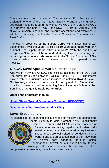There are four other operational LT tours within NSW that are each assigned to one of the four Naval Special Warfare Units (NSWU) strategically located around the world. NSWU-1 is in Guam, NSWU-3 is in Bahrain and both NSWU-2 and NSWU-10 are in Germany. The NSWUs' mission is to plan and execute operations and exercises, in addition to advising the Theater Special Operations Commands and Fleet Staffs.

The overall presence of the Supply Corps within NSW has grown exponentially over the years. As little as 10 years ago, there were only a handful of Supply Corps officers in NSW. With the addition of Ensigns to NSW, we will be around 66 strong. Expeditionary Logistics is gaining the notoriety it deserves within the Supply Corps, and NSW is an excellent community to serve which offers upward career mobility.

### <span id="page-17-0"></span>**OPLOG-Naval Special Warfare Internships**

Also within NSW are OPLOG intern billets assigned to the LOGSUs. The billets are divided between LOGSU-1 and LOGSU-2. The interns have a robust curriculum, which includes completing **DAWIA Level I Contracting** certification, numerous U.S. Army and U.S. Marine Corps logistics courses, as well as attending Basic Parachute School at Fort Benning, GA to qualify **Basic Parachutist**.

#### **Other links of interest include:**

**[United States Special Operations Command \(USSOCOM\)](http://www.socom.mil/socomhome/pages/default.aspx)**

<span id="page-17-1"></span>**[Naval Special Warfare Command \(NSWC\)](http://www.navsoc.navy.mil/)**

#### **Naval Expeditionary**

A scalable force spanning the full range of military operations from Theater Security to Major Combat, Navy Expeditionary

Combat Command (NECC) forces are made up of Sailors who are agile, rapidly deployable, selfsustainable and adaptive to mission requirements. These forces are well suited for conducting hybrid warfare and are an essential part of the Navy team to deliver core capability through ships, submarines, aircraft or our expeditionary forces.

Working in the seams between the maritime and land component commanders, these forces stand ready.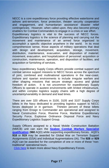NECC is a core expeditionary force providing effective waterborne and ashore anti-terrorism, force protection, theater security cooperation and engagement, and humanitarian assistance/ disaster relief contingencies. However, when called upon, they also become primary enablers for Combat Commanders to engage in a crisis or war effort. Expeditionary logistics is vital to the success of NECC forces. Expeditionary logistics is the science of planning and carrying out the movement and maintenance of an armed force organized to accomplish a specific objective anywhere in the world. In its most comprehensive sense, those aspects of military operations that deal with design and development, acquisition, storage, movement, distribution, maintenance, evacuation, and disposition of materiel; movement, evacuation, and hospitalization of personnel; acquisition or construction, maintenance, operation, and disposition of facilities; and acquisition or furnishing of services.

Navy expeditionary Supply Corps officers provide combat support and combat service support missions to NECC forces across the spectrum of joint, combined and multinational operations in the near-coast, inshore and riparian environments to include irregular warfare and other shaping missions that secure strategic access and global freedom of action. It is not uncommon for expeditionary Supply Officers to operate in austere environments with limited infrastructure, and within complex logistics supply chains with a high degree of uncertainty/variability in demand and lead times.

There are over 320 officers in 3100, 3105 and 3107 Supply Corps billets in the Navy dedicated to providing logistics support to NECC forces deployed or in garrison. Thirteen percent of these billets ranging from Ensign to Commander are operational and assigned to Naval Construction Force, Riverine Force, Maritime Expeditionary Security Force, Explosive Ordinance Disposal Force and Navy Expeditionary Logistics Support Group.

Supply Officers assigned to a Naval Mobile Construction Battalion (NMCB) unit can earn the **[Seabee Combat Warfare Specialist](http://cryptome.sabotage.org/dodi/opnav-1410-1d.pdf)  [qualification](http://cryptome.sabotage.org/dodi/opnav-1410-1d.pdf)** (**960** AQD) while supporting expeditionary forces. AQD's **918** or **919** may be awarded for Global War on Terrorism Support Assignments (GSA) and Individual Augmentations (IA). The **928** or **929** AQD can be awarded for the completion of one or more of these "nontraditional" operational tours.

[Click here](http://www.necc.navy.mil/,) to learn more about Navy Expeditionary Forces.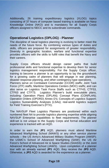Additionally, 26 training expeditionary logistics (XLOG) topics consisting of 37 hours of computer based training is available on Navy Knowledge Online (NKO) and is mandatory for all Supply Corps officers assigned to NECC and its subordinate commands.

### <span id="page-19-0"></span>**Operational Logistics (OPLOG) - Planner**

The discipline of naval logistics planning is evolving to better meet the needs of the future force. By combining various types of duties and skills, officers are prepared for assignments of greater responsibility. Diversity in geographic location, warfare and functional expertise provides officers with the skills to fulfill roles that benefit the Navy and their careers.

Supply Corps officers should design career paths that build professional skills and functional expertise to develop them for senior logistics management responsibility. For the Supply Corps officer, training to become a planner is an opportunity to lay the groundwork for a growing cadre of planners that will engage in war planning, disaster response planning, and other contingency-type operations.

Planners serve on Combatant Commander (CCDR) staffs; Joint Task Force (JTF) staffs; Maritime Operations Centers (MOC) staffs; and can also serve on Logistics Task Force Staffs such as CTF43, CTF53, CTF63 and CTF73. Logistics Planner's build executable plans, including: Operation Plans (OPLAN); Concept Plans (CONPLAN); Operation Orders (OPORD) Annex D's; Concepts of Logistics Support; Logistics Sustainability Analyses (LSAs); real-world logistics support for Field Training Exercise's (FTX).

The NAVSUP Fleet Logistics Planners are positioned within each numbered fleet N4 to provide logistics planning expertise while aligning NAVSUP Enterprise capabilities to fleet requirements. The planner skill-set is not unique to the Supply Corps and formal education and experience is tracked with an AQD.

In order to earn the **JP1** AQD, planners must attend Maritime Advanced Warfighting School (MAWS) or any other service planner schools – the US Army's Advanced Military Studies Program (AMSP); the USMC's School of Advanced Warfighting (SAW); the US Air Force's School of Advanced Air & Space Studies (SAASS); or the Joint Advanced Warfighting School (JAWS). Upon completion of a planner tour with an already earned **JP1** AQD, they receive the **JP3** AQD. Otherwise, a **JP2** AQD is awarded for the experience as a planner.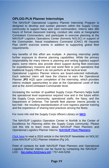### <span id="page-20-0"></span>**OPLOG-PLN Planner Internships**

The NAVSUP Operational Logistics Planner Internship Program is designed to develop and sustain planners within the Supply Corps community to support Navy and Joint commanders. Interns take 480 hours of formal classroom training, conduct site visits at Geographic Combatant Commanders, and participate in exercise planning at the NAVSUP Logistics Operations Center (formerly NOLSC) in support of the Commander, Naval Installations Command (CNIC) All Hazards Plan (AHP) exercise events in addition to supporting global fleet requirements.

Key benefits of this effort are multiple. A planning internship yields further exposure to diverse planning capabilities. While the primary responsibility for many interns is planning and writing logistics support plans; some interns also provide direct support during fleet exercises for expeditionary missions and real world fleet or joint operations that traditional Supply Officer's do not perform at the tactical level.

Operational Logistics Planner interns are board-selected individuals. Each selected intern will have the chance to earn the Operational Planner **JP2** AQD upon completion of the internship, which provides interns multiple opportunities to plan at the Operational Level of War and at the Joint/Combatant Commander level.

Increasing the number of qualified Supply Corps Planners helps build the operational level experience required now and in the future within the Supply Corps community, operational staffs, the Navy, and the Department of Defense. The benefit fleet planner interns provide is two-fold-- the resulting standardization of core logistics planner training and the experience of sharing best practices among the fleets.

For more info visit the Supply Corps officers Library on **[NKO](https://wwwa.nko.navy.mil/portal/supplycorpsofficers/home)**.

The NAVSUP Logistics Operation Center in Norfolk is the Center of Excellence for Planning within the Supply Corps community. Please visit this link to learn more about NAVSUP Fleet Planners and Operational Logistics Planner Interns**: [NAVSUP Fleet Planners.](https://www.navsup.navy.mil/mynavsup/GLSE_7-7-10.pdf)**

[Click here](https://www.navsup.navy.mil/scnewsletter/resources/novdec10.pdf) to read a 2010 article in the NAVSUP Newsletter on NOLSC (now NAVSUP LOC) Planner Initiative (Pg 14).

Point of contacts for both NAVSUP Fleet Planners and Operational Logistics Planner Interns can be found by contacting the NAVSUP - LOC: **[loc.nolsc.fct@navy.mil](mailto:loc.nolsc.fct@navy.mil)** / 757-443-5250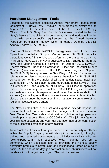#### <span id="page-21-0"></span>**Petroleum Management - Fuels**

Located at the Defense Logistics Agency McNamara Headquarters Complex at Ft. Belvoir, VA, NAVSUP Energy traces its history back to August 1952 with the establishment of the U.S. Navy Fuel Supply Office. The U.S. Navy Fuel Supply Office was created to be the Navy's Service Control Point for petroleum, oils, and lubricants in order to provide service-specific requirements to the Armed Services Petroleum Purchasing Agency, which is today's Defense Logistics Agency-Energy (DLA-Energy).

Prior to October 2010, NAVSUP Energy was part of the Naval Operational Logistics Support Center (now NAVSUP Logistics Operations Center) in Norfolk, VA, performing the similar role as it had in its earlier days…as the Naval advocate to DLA Energy for both the Navy and Marine Corps fuel activities. In October 2010, NAVSUP Energy migrated under the Commander, Fleet and Industrial Supply Centers (now Commander, NAVSUP Global Logistics Support-NAVSUP GLS) headquartered in San Diego, CA and formalized its role as the petroleum product and service champion for NAVSUP GLS as Code 70. With the transfer of all Commander, Naval Installation Command's (CNIC) air station fueling operations under NAVSUP also in October 2010, the alignment of all Navy Bulk Class III operations under once claimancy was complete. NAVSUP Energy's operational and fuels advocacy role expanded to all naval fuel facilities (both bulk and retail) and a Regional Fuels construct was created to bring this last class of supply under the operational and managerial control role of the regional Fleet Logistics Centers.

The Navy Fuels Officer's skill set and expertise extends beyond the aviation fuel truck and varies from the management and operations of Deep Water Fuel Terminals and air station flightline fueling operations to fuels planning on a Fleet or COCOM staff. The joint warfighter is your ultimate customer, and your fuel operation has direct contribution to the successful completion of any mission.

As a "Fuelie" not only will you join an exclusive community of officers within the Supply Corps, you will also join a community of highlytrained and regarded government and oil industry civilians who are fuels experts within their respective fields. Together, you form a community which dedicates itself to providing the highest quality petroleum products to naval, joint, and multinational forces on a daily basis. At the end of the day, job satisfaction and job fulfillment will not be idealistic or foreign ideas to you. They will be realities.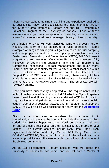There are two paths to gaining the training and experience required to be qualified as Navy Fuels Logisticians: the fuels internship through the Supply Corps Internship Program and the 811 Postgraduate Education Program at the University of Kansas. Each of these avenues offers you very exceptional and exciting experiences and allows for the requisite skill set to manage this very unique commodity.

As a fuels intern, you will work alongside some of the best in the oil industry and learn the full spectrum of fuels operations. Some examples of things to which you will gain exposure are fuel sampling and testing; pipeline and fuel tank repair planning-also known as Sustainment, Restoration, and Modernization (SRM); MILCON project programming and execution; Continuous Process Improvement (CPI) initiatives for streamlining operations; planning fuel requirements; Compliance Inspections; Contract Management; and much more. There is also the opportunity for you to travel to other locations within CONUS or OCONUS to view operations on site at a Defense Fuels Support Point (DFSP) or air station. Currently, there are eight billets available for a fuels intern. Six of the billets are collocated with the DFSPs at one of NAVSUP's seven FISCs. The other two are with NAVSUP Energy.

Once you have successfully completed all the requirements of the fuels internship, you will have completed **DAWIA Life Cycle Logistics Level I and Level II**, earning you an additional AQD for Acquisition Logistics Non-critical (**ALN**), and you will be assigned a subspecialty code in Operational Logistics, **3212S**, and in Petroleum Management, **1307S**. You will also be well positioned for entry into the **[Acquisition](http://www.public.navy.mil/bupers-npc/officer/Detailing/acquisition/Pages/default2.aspx)  [Corps](http://www.public.navy.mil/bupers-npc/officer/Detailing/acquisition/Pages/default2.aspx)**.

Billets that an intern can be considered for or expected to fill immediately coming out of the internship include five overseas billets coded with **1307S** subspecialty code. You'll be primarily considered for one of these billets based on their availability at the time of your rotation. The current locations include NAS Rota, Spain, NAS Sigonella, Italy, NSA Souda Bay, Greece, NSF Diego Garcia, and COMLOGWESTPAC, Singapore. In addition to these locations, there are other possibilities to fill a role as a planner or fuels officer at one of the six Fleet commands.

As an 811 Postgraduate Program selectee, you will attend the University of Kansas for two years, and you will earn a Master of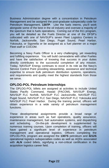Business Administration degree with a concentration in Petroleum Management and be assigned the post-graduate subspecialty code for Petroleum Management, **1307P**. Like the fuels interns, you'll work alongside some of the best in the oil industry and oversee a majority of the spectrum that is fuels operations. Coming out of the 811 program, you will be detailed as the Fuels Director at one of the DFSP's collocated with one of NAVSUP's seven Fleet Logistics Centers in Norfolk, Jacksonville, San Diego, Puget Sound, Pearl Harbor, Yokosuka, or Sigonella or be assigned as a fuel planner on a major Fleet staff or COCOM.

Becoming a Navy Fuels Officer is a very challenging, yet rewarding and fulfilling experience. You will build camaraderie with other Fuelies and have the satisfaction of knowing that success in your duties directly contributes to the successful completion of any mission. Today, NAVSUP Energy continues to excel in its role as the Navy's Service Control Point providing stewardship, assistance and technical expertise to ensure bulk petroleum distribution systems, operations, and requirements and quality meet the highest standards from those we serve.

#### <span id="page-23-0"></span>**OPLOG-POL Petroleum Internships**

The OPLOG-POL billets are assigned at activities to include United States Pacific Command, Hawaii (PACOM), NAVSUP Energy, NAVSUP FLC Norfolk, NAVSUP FLC Jacksonville, NAVSUP FLC Puget Sound, NAVSUP FLC San Diego, NAVSUP FLC Yokosuka and NAVSUP FLC Pearl Harbor. During the training period, officers will obtain experience in a wide variety of petroleum management functions.

These developmental assignments provide a broad range of experience in areas such as fuel operations, quality assurance, maintenance management, fuel automation systems, and dispatching and scheduling. On-the-job development is supplemented by numerous training courses. Upon completion of training, officers will have gained a significant level of experience in petroleum management and operational logistics. Officers completing the OPLOG-POL program are assigned the **1307S** petroleum and **3212S** operational logistics subspecialties codes as well as AQDs associated with **ALN** coded billets, signifying a non-critical certification in the acquisition logistics career field.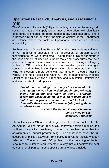## **Operations Research, Analysis, and Assessment (OR)**

The Operations Research (OR) subspecialty is a complimentary skill set to the traditional Supply Corps lines of operation, with significant opportunity to enhance the performance in any functional area. There is neither a billet nor job within the field of logistics or the Department of Defense where the tools of Operations Research do not find applicability.

So then, what is Operations Research? At the most fundamental level, an OR analyst is educated in the application of problem-solving techniques to real world problems. The outcome of his or her efforts is the development of decision support tools and procedures that help people and organizations make better choices when facing challenging problems. OR provides the tools to remove the "go with your gut" sentiment and enables leadership to have a clear understanding of the "why" one option is more beneficial than another instead of just the "what." The major disciplines within OR are all quantitatively intense: Statistics and Data Analysis, Probability and Simulation, Optimization and Warfare Analysis (Logistics.)

*One of the great things that the graduate education in O.R. taught me was how to think much more critically than I had before, and really, to frame a problem. Where that really helps me in this job is being able to 'still frame' a problem in my mind and to look at it differently than many of the people [who] bring those problems to me.*

> *-- ADM Mike Mullen, Former Chairman, Joint Chiefs of Staff Analytics, Sept 2010*

The military uses OR at the strategic, operational and tactical levels. As Admiral Mullen states above, OR improves decision making and facilitates insight into problems, whether that problem be combat fire assignments or budget programming. OR applications cover the full spectrum of military activities, from policy analysis to tactical weapon selection. The most basic OR problem is the matching of limited resources to unlimited requirements in a way that will achieve the best outcome for all parties. Some specific areas of focus include: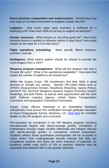**Force structure composition and modernization:** Should Navy buy new ships or increase investment to lengthen usable ship life?

**Logistics:** How much repair parts inventory is sufficient for a deploying unit? How much airlift do we buy to support an exercise?

**Human resources:** What should our recruiting goals be? How much incentive bonus is needed to influence sailors to stay Navy? How many people do we need for a 313-ship Navy?

**Flight operations scheduling:** three aircraft, fifteen missions, prioritize, execute.

**Intelligence:** What search pattern should be utilized to provide the most imagery from a UAV?

**Weapons program management:** What will this weapon cost over a 20-year life cycle? What is the operational availability? How does that impact the number of platforms we should buy?

Within the Supply Corps, OR practitioners find their skills in great demand at virtually any activity. Specific OR-coded billets exist at OPNAV (Assessments Division, Readiness Reporting, Spares Policy), NAVSUP HQ, NAVSUP Weapons Systems Support (Inventory System Modeling), and both Fleets, as well as Joint opportunities with the Joint Staff, Defense Logistics Agency, United States Transportation Command, and geographic Combatant Commands.

Supply Corps officers interested in an Operations Research subspecialty must pursue this certification through graduate education at Naval Postgraduate School, Monterey, CA. [Click here](http://www.nps.edu/Academics/Schools/GSOIS/Departments/OR/index.html) for complete details on the OR program and curriculum.

Pre-requisites for enrollment in the OR Masters program include:a baccalaureate degree with above-average grades, completion of mathematics through single variable differential and integral calculus with above-average grades is considered minimal preparation. Students without these quantitative prerequisites will be accepted in cases where their undergraduate records indicate that they are exceptional students and there are other indicators of potential. An academic profile code (APC) of 325 is required. Waivers may be requested and obtained with a one-quarter refresher.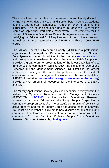The educational program is an eight-quarter course of study (including JPME) with entry dates in March and September. In general, students attend a one-quarter mathematics "refresher" prior to entering the curriculum. This course sequence begins in January or July for the March or September start dates, respectively. Requirements for the Master of Science in Operations Research degree are met en route to satisfying the Educational Skill Requirements of the curricular program as well as Service Intermediate-level PME and Phase I Joint PME credit.

The Military Operations Research Society (MORS) is a professional organization for analysts in Department of Defense and National Security-related issues. In addition to their website (**[www.mors.org](http://www.mors.org/)**), and their quarterly newsletter, *Phalanx*, the annual MORS Symposium provides a great forum for presentations of the latest analytical efforts from across the community. Outside DoD, The Institute for Operations Research and the Management Sciences (INFORMS) is the largest professional society in the world for professionals in the field of operations research, management science, and business analytics. INFORMS websites (**[www.informs.org](http://www.informs.org/)**, **[www.scienceofbetter.org](http://www.scienceofbetter.org/)**) provide a vast amount of resources for the interested quantitative analyst.

The Military Applications Society (MAS) is a technical society within the Institute for Operations Research and the Management Sciences (INFORMS). **[INFORMS](http://www.informs.org/Community/MAS)** is the civilian Operations Research professional society. Additionally, the Navy Supply Corps has a community group on *Linkedin*. The *Linkedin* community of consists of active, reserve and retired Supply Corps operations research analysts. You must be a member of *Linkedin* to post discussions, questions, and comments. This forum is an excellent source of information within the community. You can find the US Navy Supply Corps Operations Research Group on *Linkedin* by [clicking here.](http://www.linkedin.com/groups/US-Navy-Supply-Corps-Operations-1898131)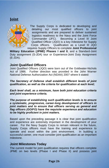## <span id="page-27-0"></span>**Joint**



The Supply Corps is dedicated to developing and detailing our most qualified officers to joint assignments and are prepared to deliver sustained logistics readiness to the Navy and the Joint Force Commander (JFC). Becoming a Level III Joint Qualified Officer (JQO) is a key milestone for Supply Corps officers. Qualification as a Level III JQO requires Supply Officers to complete **Joint Professional** 

**Military Education (JPME) Phases I and II**, and a Standard-Joint Duty assignment (S-JDA) tour or Experience-Joint Duty Assignment (E-JDA).

### **Joint Qualified Officers**

Joint Qualified Officers (JQO) were born out of the Goldwater-Nichols Act of 1986. Further direction was provided in the John Warner National Defense Authorization Act (NDAA) 2007 where it stated:

*The Secretary of Defense shall establish different levels of joint qualification, as well as the criteria for qualification at each level;*

*Each level shall, as a minimum, have both joint education criteria and joint experience criteria.*

*The purpose of establishing such qualification levels is to ensure a systematic, progressive, career-long development of officers in joint matters and to ensure that officers serving as general and flag officers (GO/FO) have the requisite experience and education to be highly proficient in joint matters.*

Based upon the preceding passage it is clear that joint qualification and experience are extremely important in the development of your career. For the Navy Supply Corps to remain relevant in the future, Supply Corps officers must have the training and experience to operate and excel within the joint environment. In building a successful career, one must consider joint qualification as an important milestone.

### **Joint Milestones Today**

The current model for joint qualification requires that officers complete JPME on two levels (Phase I and Phase II) and possess joint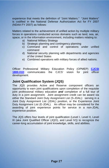experience that meets the definition of "Joint Matters." "Joint Matters" is codified in the National Defense Authorization Act for FY 2007 (NDAA FY 2007) as follows:

Matters related to the achievement of unified action by multiple military forces in operations conducted across domains such as land, sea, air, space, or in the information environment, including matters relating to:

- a) National Military Strategy
- b) Strategic planning and contingency planning
- c) Command and control of operations under unified command
- d) National security planning with departments and agencies of the United States
- e) Combined operations with military forces of allied nations.

Officer Professional Military Education Policy (OPMEP) **[CJCSI](http://www.dtic.mil/cjcs_directives/cjcs/instructions.htm)  [1800.01D](http://www.dtic.mil/cjcs_directives/cjcs/instructions.htm)** communicates the CJCS' vision for joint officer development.

### **Joint Qualification System (JQS)**

The JQS provides Active and Reserve component officers an opportunity to earn joint qualifications upon completion of the requisite joint professional military education *and* completion of a full tour of duty in a joint assignment. Joint assignment credit can be award via either the Standard Joint Duty Assignment List (S-JDAL): serving in a Joint Duty Assignment List (JDAL) position, or the Experience Joint Duty Assignment List (E-JDAL). An officer may be considered for the awarding of joint experience points for service in a non-JDAL experience position.

The JQS offers four levels of joint qualification (Level I, Level II, Level III (aka Joint Qualified Officer (JQO), and Level IV)) to recognize the career-long accumulation of joint knowledge, skills, and abilities.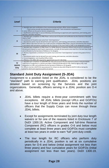| Level               | <b>Criteria</b>                                                                                                                                                                                                                                                                                                                                                                                                                                                                                                                                                                                                                                                                       |  |  |  |  |  |
|---------------------|---------------------------------------------------------------------------------------------------------------------------------------------------------------------------------------------------------------------------------------------------------------------------------------------------------------------------------------------------------------------------------------------------------------------------------------------------------------------------------------------------------------------------------------------------------------------------------------------------------------------------------------------------------------------------------------|--|--|--|--|--|
|                     | a. Awarded upon joint certification of pre-commissioning and basic officer course completion.<br>-- These courses provide learning objectives dealing with "Joint Introduction and Awareness."<br>b. Junior Officers are focused on Service competencies.<br>c. Qualification points begin to accrue following commissioning via opportune joint experiences, joint training, joint<br>exercises, and other education.                                                                                                                                                                                                                                                                |  |  |  |  |  |
| п                   | a. Awarded upon completion of JPME Phase I and accrual of 18 points and certification by the Chairman of the Joint<br>Chiefs of Staff.<br>b. A minimum of 12 points must come from "Joint Experience."<br>c. Discretionary points may be derived from joint experience, joint training, joint exercises, and other education.<br>NOTE: Officers who have Full Joint Tour Credit and have completed JPME Phase I may be nominated by their Service,<br>in accordance with procedures established by the Chairman of the Joint Chiefs of Staff, to be designated as Level II                                                                                                            |  |  |  |  |  |
| Ш                   | a. Awarded upon completion of JPME Phase II or AJPME (Reserve Component officers) and accrual of a minimum of<br>36 total points (based on Level II point requirements, normally 18 more points since Level II) or Full Joint Duty Credit,<br>and certification by the Secretary of Defense or his designee.<br>b. Recency requirement: a minimum of 12 points must come from "Joint Experience" earned in the grade of O-4 or<br>higher.<br>c. Discretionary points may be derived from joint training, joint exercises, and other education.<br>d. Formal designation: Joint Qualified Officer (JQO).<br>e. Effective 1 Oct 2008, JQO required for appointment as an O-7 (AC Only). |  |  |  |  |  |
| IV<br>GO/FO<br>Only | a. Awarded upon completion of CAPSTONE (AC only) and accrual of 24 joint experience points or full joint GO/FO<br>credit from an assignment in a GO/FO joint billet in OSD/JS/COCOM HQs/JTF HQs, Defense Agency HQs, hold<br>designation as a JQO, and certification by the Secretary of Defense or his designee.<br>b. Officers must be a GO/FO (for pay purposes) for at least one day while filling the GO/FO S-JDA or during the<br>period for which joint experience points are earned.                                                                                                                                                                                          |  |  |  |  |  |

## **Standard Joint Duty Assignment (S-JDA)**

Assignment to a position listed on the JDAL is considered to be the "standard" path to earning joint qualification. JDAL positions are detailed based on screening by the Services and the joint organizations. Generally, officers serving in a JDAL position are O-4 and above.

- JDAL billets require a three-year commitment with few exceptions. All JDAL billets (except URLs and GO/FOs) have a tour length of three years and limits the number of officers that the Supply Corps can move through these JDAL billets.
- Except for assignments terminated by joint duty tour length waivers or for one of the reasons listed in Enclosure 7 of DoDI 1300.19, Active Component and full-time Reserve Component (RC) officers in grades O-6 and below must complete at least three years and GO/FOs must complete at least two years in order to earn "full" joint duty credit.
- The tour length for RC officers who perform duty periodically in a JDAL position is set at six cumulative years for O-6 and below (initial assignment not less than three years) and four cumulative years for GO/FOs (initial assignment not less than two years). DoDI 1300.19,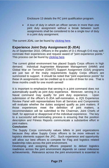Enclosure 13 details the RC joint qualification program.

A tour of duty in which an officer serves in more than one joint duty assignment without a break between such assignments shall be considered to be a single tour of duty in a joint duty assignment.

The current JDAL can be found by [clicking here.](http://www.public.navy.mil/bupers-npc/officer/Detailing/jointofficer/Pages/JDAL.aspx)

### **Experience Joint Duty Assignment (E-JDA)**

As of September 2010, Officers in the grades of O-1 through O-6 may selfnominate their experiences and request award of "joint experience points." This process can be found by [clicking here.](https://www.dmdc.osd.mil/appj/jmis/JQSindex.jsp)

The current global environment has placed Supply Corps officers in high demand. Individual Augmentee Manpower Management (IAMM) and Global War on Terrorism (GWOT) Support Assignment (GSA) programs are just two of the many requirements Supply Corps officers are summoned to support. It should be noted that "joint experience points" for these IA assignments can be credited up to a ratio of three for one. That is three months credit for one month served!

It is important to emphasize that serving in a joint command does not automatically qualify as joint duty experience. Moreover, serving in a Naval command may qualify for joint duty experience. Upon submission of the officer's E-JDA self-nomination, a JQS Experience Review Panel with representatives from all Services and Components will evaluate whether the duties assigned qualify as joint matters. If those experiences meet the definition of joint matters, a recommendation will be submitted to the Chairman, Joint Chiefs of Staff, for approval or disapproval of the individual experience. The key to a successful self-nominating process is ensuring that the position description and Fitness Reports communicate a substantive effort in joint matters.

#### **Conclusion**

The Supply Corps community values billets in joint organizations because they allow Supply Corps officers to be more relevant to logistics elements support the JFC. Such experience and opportunity will allow our best officers to compete for Flag and logistics related leadership roles across the joint environment.

Developing and assigning officers prepared to deliver logistics readiness across the joint environment depends on career milestone achievements. Relevance across the joint environment is essential to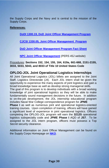the Supply Corps and the Navy and is central to the mission of the Supply Corps.

#### **References:**

**[DoDI 1300.19, DoD Joint Officer Management Program](http://www.dtic.mil/whs/directives/corres/pdf/130019p.pdf)**

**[CJCSI 1330.05, Joint Officer Management Program](http://www.dtic.mil/cjcs_directives/cdata/unlimit/1330_05.pdf)**

**[DoD Joint Officer Management Program Fact Sheet](http://prhome.defense.gov/MPP/OEPM/docs/JOM%20Fact%20Sheet%20-%20Jan%2009.pdf)**

**[NPC Joint Officer Management](http://www.public.navy.mil/bupers-npc/officer/Detailing/jointofficer/Pages/default.aspx)** (PERS 45J website)

Procedures: **Sections 152, 154, 155, 164, 619a, 661-668, 2151-2155, 3033, 5033, 5043, and 8033 of Title 10 United States Code**

### <span id="page-31-0"></span>**OPLOG-JOL Joint Operational Logistics Internships**

All Joint Operational Logistics (JOL) billets are assigned to the Joint Staff, Logistics Directorate (J4). Each JOL intern shall be given the opportunity to experience the many aspects of joint logistics and gain a broad knowledge base as well as develop strong managerial skills.

The goal of this program is to develop individuals with a broad working knowledge of joint operational logistics so they will be able to make fundamentally sound management decisions in the future. In addition to on-the-job development, the JOL internship educational program includes Naval War College correspondence program for **JPME** 

**Phase I** as well as numerous joint and operational logistics-oriented training courses. Upon completion of training, officers will have gained a significant level of experience in joint operational logistics. Officers completing the OPLOG-JOL program will earn the **3212S** operational logistics subspecialty code and **JPME Phase I** AQD of **JS7**. To be assigned to the JOL intern program, officers must possess a Top Secret security clearance.

Additional information on Joint Officer Management can be found on the Supply Corps Homepage on **[NKO](https://wwwa.nko.navy.mil/portal/supplycorpsofficers/home/jointmatters)**.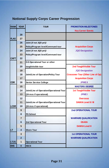## <span id="page-32-0"></span>**Notional Supply Corps Career Progression**

| <b>RANK</b> | <b>YEAR</b>             | <b>TOUR</b>                              | <b>PROMOTION MILESTONES</b>              |
|-------------|-------------------------|------------------------------------------|------------------------------------------|
|             |                         |                                          | <b>Key Career Events</b>                 |
|             | 28                      |                                          |                                          |
| <b>FLAG</b> | 27                      |                                          |                                          |
|             | 26                      | Joint (if not JQO yet)/                  |                                          |
|             | 25                      | Policy/Program level/Command tour        | <b>Acquisition Corps</b>                 |
|             | 24                      | Joint (if not JQO yet)/                  | <b>JQO Designation</b>                   |
|             | 23                      | Policy/Program level/Command tour        |                                          |
| <b>CAPT</b> | 22                      |                                          |                                          |
|             | 21                      | <b>0-5 Operational Tour or other</b>     |                                          |
|             | 20                      | tough/visible tour                       | <b>2nd Tough/Visible Tour</b>            |
|             | 19                      |                                          | <b>JQO Designation</b>                   |
|             | 18                      | Joint/Line of Operation/Policy Tour      | <b>Crossover Tour (Other Line of Op)</b> |
|             | 17                      |                                          | <b>Acquisition Corps</b>                 |
| <b>CDR</b>  | 16                      | Senior Service College                   | <b>JPMEII</b>                            |
|             | 15                      |                                          | <b>MASTERS DEGREE</b>                    |
|             | 14                      | Joint/Line of Operation/Operational Tour | <b>1st Tough/Visible Tour</b>            |
|             | 13                      | (24 mos if operational)                  | <b>JPME1</b>                             |
|             | 12                      |                                          | <b>Overseas</b>                          |
|             | 11                      | Joint/Line of Operation/Operational Tour | <b>DAWIA Level II / III</b>              |
| <b>LCDR</b> | 10                      | (24 mos if operational)                  |                                          |
|             | 9                       |                                          | <b>2nd OPERATIONAL TOUR</b>              |
|             | 8                       | <b>PG School</b>                         |                                          |
|             | $\overline{7}$          |                                          | <b>WARFARE QUALIFICATION</b>             |
|             | 6                       | 2nd Operational Tour                     | <b>GSA/IA</b>                            |
|             | 5                       |                                          | <b>DAWIA Level II</b>                    |
| LT          | $\overline{\mathbf{4}}$ | <b>Shore Tour</b>                        |                                          |
|             | 3                       |                                          | <b>1st OPERATIONAL TOUR</b>              |
|             | $\overline{2}$          |                                          | <b>WARFARE QUALIFICATION</b>             |
| <b>LTJG</b> | 1                       | <b>Operational Tour</b>                  |                                          |
| <b>ENS</b>  | $\bf{0}$                | <b>NSCS</b>                              |                                          |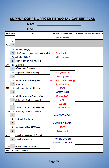## <span id="page-33-0"></span>**SUPPLY CORPS OFFICER PERSONAL CAREER PLAN**

### **NAME\_\_\_\_\_\_\_\_\_\_\_\_\_\_\_\_\_\_\_\_\_\_\_\_**

**DATE\_\_\_\_\_\_\_\_\_\_\_\_\_\_\_\_\_\_\_\_\_\_\_\_\_**

| <b>RANK</b> | <b>YEAR</b>    | <b>TOUR</b>                                   | <b>PROMOTION MILESTONES</b>       | <b>TOURS PLANNED AND COMPLETED</b> |
|-------------|----------------|-----------------------------------------------|-----------------------------------|------------------------------------|
|             |                |                                               | <b>Key Career Events</b>          |                                    |
|             | 28             |                                               |                                   |                                    |
| <b>FLAG</b> | 27             |                                               |                                   |                                    |
|             | 26             | Joint (if not JQO yet)/                       |                                   |                                    |
|             | 25             | Policy/Program level/Command tour (36 Months) | <b>Acquisition Corps</b>          |                                    |
|             | 24             | Joint (if not JQO yet)/                       | <b>JQO Designation</b>            |                                    |
|             | 23             | Policy/Program level/Command tour             |                                   |                                    |
| <b>CAPT</b> | 22             | (36 Months)                                   |                                   |                                    |
|             | 21             | 0-5 Operational Tour or other                 |                                   |                                    |
|             | 20             | tough/visible tour (24-36 Months)             | 2nd Tough/Visible Tour            |                                    |
|             | 19             |                                               | <b>JQO Designation</b>            |                                    |
|             | 18             | Joint/Line of Operation/Policy Tour           | Crossover Tour (Other Line of Op) |                                    |
|             | 17             | 36 Months                                     | <b>Acquisition Corps</b>          |                                    |
| <b>CDR</b>  | 16             | Senior Service College (12 Months)            | <b>JPMEII</b>                     |                                    |
|             | 15             |                                               | <b>MASTERS DEGREE</b>             |                                    |
|             | 14             | Joint/Line of Operation/Operational Tour      | 1st Tough/Visible Tour            |                                    |
|             | 13             | 36 Months (24 Months if operational)          | <b>JPME1</b>                      |                                    |
|             | 12             |                                               | Overseas                          |                                    |
|             | 11             | Joint/Line of Operation/Operational Tour      | DAWIA Level II / III              |                                    |
| <b>LCDR</b> | 10             | 36 Months (24 Months if operational)          |                                   |                                    |
|             | 9              |                                               | 2nd OPERATIONAL TOUR              |                                    |
|             | 8              | PG School (12-24 Months)                      |                                   |                                    |
|             | $\overline{7}$ |                                               | <b>WARFARE QUALIFICATION</b>      |                                    |
|             | 6              | 2nd Operational Tour (24-30 Months)           | <b>GSA/IA</b>                     |                                    |
|             | 5              |                                               | <b>DAWIA Level II</b>             |                                    |
| LT          | 4              | Shore Tour Cont/GSA (7-12 Months)             |                                   |                                    |
|             | 3              | Shore Tour (30 months)                        | <b>1st OPERATIONAL TOUR</b>       |                                    |
|             | $\overline{2}$ |                                               | <b>WARFARE QUALIFICATION</b>      |                                    |
| <b>LTJG</b> | $\mathbf{1}$   | Operational Tour (24-30 Months)               |                                   |                                    |
| <b>ENS</b>  | 0              | NSCS (6 Months)                               |                                   |                                    |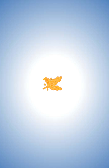